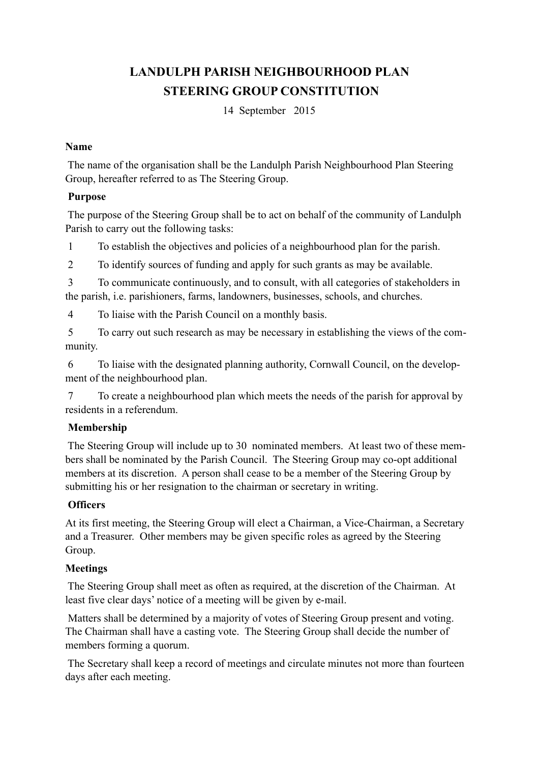# **LANDULPH PARISH NEIGHBOURHOOD PLAN STEERING GROUP CONSTITUTION**

14 September 2015

#### **Name**

 The name of the organisation shall be the Landulph Parish Neighbourhood Plan Steering Group, hereafter referred to as The Steering Group.

## **Purpose**

 The purpose of the Steering Group shall be to act on behalf of the community of Landulph Parish to carry out the following tasks:

1 To establish the objectives and policies of a neighbourhood plan for the parish.

2 To identify sources of funding and apply for such grants as may be available.

 3 To communicate continuously, and to consult, with all categories of stakeholders in the parish, i.e. parishioners, farms, landowners, businesses, schools, and churches.

4 To liaise with the Parish Council on a monthly basis.

 5 To carry out such research as may be necessary in establishing the views of the community.

 6 To liaise with the designated planning authority, Cornwall Council, on the development of the neighbourhood plan.

 7 To create a neighbourhood plan which meets the needs of the parish for approval by residents in a referendum.

# **Membership**

 The Steering Group will include up to 30 nominated members. At least two of these members shall be nominated by the Parish Council. The Steering Group may co-opt additional members at its discretion. A person shall cease to be a member of the Steering Group by submitting his or her resignation to the chairman or secretary in writing.

# **Officers**

At its first meeting, the Steering Group will elect a Chairman, a Vice-Chairman, a Secretary and a Treasurer. Other members may be given specific roles as agreed by the Steering Group.

# **Meetings**

 The Steering Group shall meet as often as required, at the discretion of the Chairman. At least five clear days' notice of a meeting will be given by e-mail.

 Matters shall be determined by a majority of votes of Steering Group present and voting. The Chairman shall have a casting vote. The Steering Group shall decide the number of members forming a quorum.

 The Secretary shall keep a record of meetings and circulate minutes not more than fourteen days after each meeting.